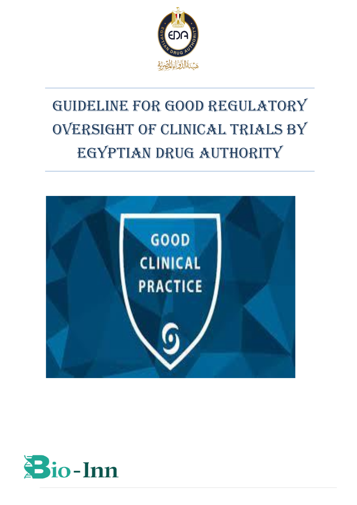

# Guideline For Good Regulatory Oversight of Clinical Trials by Egyptian Drug Authority



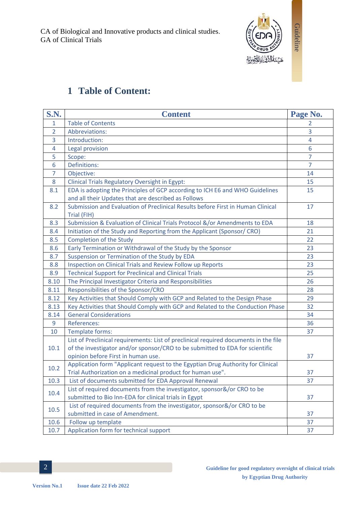

# **1 Table of Content:**

| S.N.           | <b>Content</b>                                                                                                                                                       | Page No.       |
|----------------|----------------------------------------------------------------------------------------------------------------------------------------------------------------------|----------------|
| 1              | <b>Table of Contents</b>                                                                                                                                             | 2              |
| $\overline{2}$ | Abbreviations:                                                                                                                                                       | 3              |
| 3              | Introduction:                                                                                                                                                        | 4              |
| 4              | <b>Legal provision</b>                                                                                                                                               | 6              |
| 5              | Scope:                                                                                                                                                               | $\overline{7}$ |
| 6              | <b>Definitions:</b>                                                                                                                                                  | $\overline{7}$ |
| $\overline{7}$ | Objective:                                                                                                                                                           | 14             |
| 8              | <b>Clinical Trials Regulatory Oversight in Egypt:</b>                                                                                                                | 15             |
| 8.1            | EDA is adopting the Principles of GCP according to ICH E6 and WHO Guidelines<br>and all their Updates that are described as Follows                                  | 15             |
| 8.2            | Submission and Evaluation of Preclinical Results before First in Human Clinical<br>Trial (FIH)                                                                       | 17             |
| 8.3            | Submission & Evaluation of Clinical Trials Protocol &/or Amendments to EDA                                                                                           | 18             |
| 8.4            | Initiation of the Study and Reporting from the Applicant (Sponsor/CRO)                                                                                               | 21             |
| 8.5            | <b>Completion of the Study</b>                                                                                                                                       | 22             |
| 8.6            | Early Termination or Withdrawal of the Study by the Sponsor                                                                                                          | 23             |
| 8.7            | Suspension or Termination of the Study by EDA                                                                                                                        | 23             |
| 8.8            | Inspection on Clinical Trials and Review Follow up Reports                                                                                                           | 23             |
| 8.9            | <b>Technical Support for Preclinical and Clinical Trials</b>                                                                                                         | 25             |
| 8.10           | The Principal Investigator Criteria and Responsibilities                                                                                                             | 26             |
| 8.11           | Responsibilities of the Sponsor/CRO                                                                                                                                  | 28             |
| 8.12           | Key Activities that Should Comply with GCP and Related to the Design Phase                                                                                           | 29             |
| 8.13           | Key Activities that Should Comply with GCP and Related to the Conduction Phase                                                                                       | 32             |
| 8.14           | <b>General Considerations</b>                                                                                                                                        | 34             |
| 9              | References:                                                                                                                                                          | 36             |
| 10             | Template forms:                                                                                                                                                      | 37             |
| 10.1           | List of Preclinical requirements: List of preclinical required documents in the file<br>of the investigator and/or sponsor/CRO to be submitted to EDA for scientific |                |
|                | opinion before First in human use.                                                                                                                                   | 37             |
| 10.2           | Application form "Applicant request to the Egyptian Drug Authority for Clinical<br>Trial Authorization on a medicinal product for human use".                        | 37             |
| 10.3           | List of documents submitted for EDA Approval Renewal                                                                                                                 | 37             |
| 10.4           | List of required documents from the investigator, sponsor&/or CRO to be<br>submitted to Bio Inn-EDA for clinical trials in Egypt                                     | 37             |
| 10.5           | List of required documents from the investigator, sponsor&/or CRO to be                                                                                              |                |
|                | submitted in case of Amendment.                                                                                                                                      | 37             |
| 10.6           | Follow up template                                                                                                                                                   | 37             |
| 10.7           | Application form for technical support                                                                                                                               | 37             |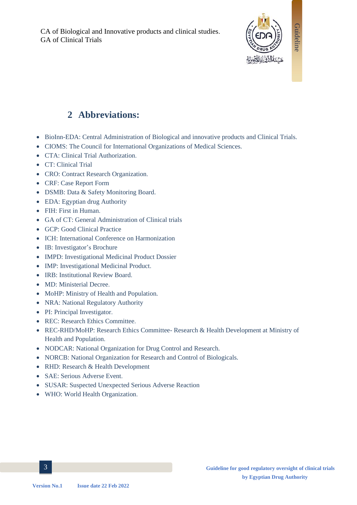

# **2 Abbreviations:**

- BioInn-EDA: Central Administration of Biological and innovative products and Clinical Trials.
- CIOMS: The Council for International Organizations of Medical Sciences.
- CTA: Clinical Trial Authorization.
- CT: Clinical Trial
- CRO: Contract Research Organization.
- CRF: Case Report Form
- DSMB: Data & Safety Monitoring Board.
- EDA: Egyptian drug Authority
- FIH: First in Human.
- GA of CT: General Administration of Clinical trials
- GCP: Good Clinical Practice
- ICH: International Conference on Harmonization
- IB: Investigator's Brochure
- IMPD: Investigational Medicinal Product Dossier
- IMP: Investigational Medicinal Product.
- IRB: Institutional Review Board.
- MD: Ministerial Decree.
- MoHP: Ministry of Health and Population.
- NRA: National Regulatory Authority
- PI: Principal Investigator.
- REC: Research Ethics Committee.
- REC-RHD/MoHP: Research Ethics Committee- Research & Health Development at Ministry of Health and Population.
- NODCAR: National Organization for Drug Control and Research.
- NORCB: National Organization for Research and Control of Biologicals.
- RHD: Research & Health Development
- SAE: Serious Adverse Event.
- SUSAR: Suspected Unexpected Serious Adverse Reaction
- WHO: World Health Organization.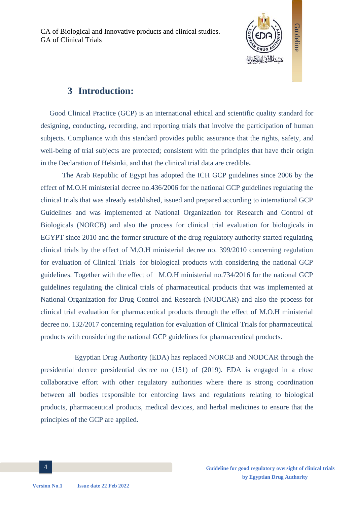

# **3 Introduction:**

 Good Clinical Practice (GCP) is an international ethical and scientific quality standard for designing, conducting, recording, and reporting trials that involve the participation of human subjects. Compliance with this standard provides public assurance that the rights, safety, and well-being of trial subjects are protected; consistent with the principles that have their origin in the Declaration of Helsinki, and that the clinical trial data are credible **.**

The Arab Republic of Egypt has adopted the ICH GCP guidelines since 2006 by the effect of M.O.H ministerial decree no.436/2006 for the national GCP guidelines regulating the clinical trials that was already established, issued and prepared according to international GCP Guidelines and was implemented at National Organization for Research and Control of Biologicals (NORCB) and also the process for clinical trial evaluation for biologicals in EGYPT since 2010 and the former structure of the drug regulatory authority started regulating clinical trials by the effect of M.O.H ministerial decree no. 399/2010 concerning regulation for evaluation of Clinical Trials for biological products with considering the national GCP guidelines. Together with the effect of M.O.H ministerial no.734/2016 for the national GCP guidelines regulating the clinical trials of pharmaceutical products that was implemented at National Organization for Drug Control and Research (NODCAR) and also the process for clinical trial evaluation for pharmaceutical products through the effect of M.O.H ministerial decree no. 132/2017 concerning regulation for evaluation of Clinical Trials for pharmaceutical products with considering the national GCP guidelines for pharmaceutical products.

 Egyptian Drug Authority (EDA) has replaced NORCB and NODCAR through the presidential decree presidential decree no (151) of (2019). EDA is engaged in a close collaborative effort with other regulatory authorities where there is strong coordination between all bodies responsible for enforcing laws and regulations relating to biological products, pharmaceutical products, medical devices, and herbal medicines to ensure that the principles of the GCP are applied.

4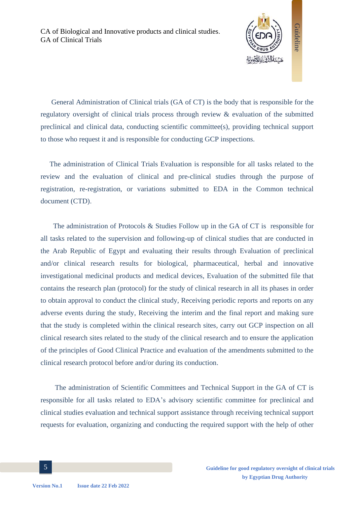

 General Administration of Clinical trials (GA of CT) is the body that is responsible for the regulatory oversight of clinical trials process through review & evaluation of the submitted preclinical and clinical data, conducting scientific committee(s), providing technical support to those who request it and is responsible for conducting GCP inspections.

 The administration of Clinical Trials Evaluation is responsible for all tasks related to the review and the evaluation of clinical and pre-clinical studies through the purpose of registration, re-registration, or variations submitted to EDA in the Common technical document (CTD).

 The administration of Protocols & Studies Follow up in the GA of CT is responsible for all tasks related to the supervision and following-up of clinical studies that are conducted in the Arab Republic of Egypt and evaluating their results through Evaluation of preclinical and/or clinical research results for biological, pharmaceutical, herbal and innovative investigational medicinal products and medical devices, Evaluation of the submitted file that contains the research plan (protocol) for the study of clinical research in all its phases in order to obtain approval to conduct the clinical study, Receiving periodic reports and reports on any adverse events during the study, Receiving the interim and the final report and making sure that the study is completed within the clinical research sites, carry out GCP inspection on all clinical research sites related to the study of the clinical research and to ensure the application of the principles of Good Clinical Practice and evaluation of the amendments submitted to the clinical research protocol before and/or during its conduction.

 The administration of Scientific Committees and Technical Support in the GA of CT is responsible for all tasks related to EDA's advisory scientific committee for preclinical and clinical studies evaluation and technical support assistance through receiving technical support requests for evaluation, organizing and conducting the required support with the help of other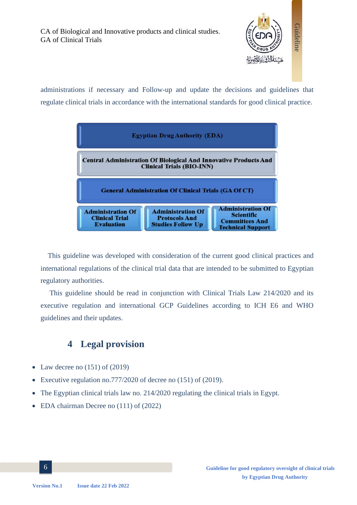

administrations if necessary and Follow-up and update the decisions and guidelines that regulate clinical trials in accordance with the international standards for good clinical practice.



 This guideline was developed with consideration of the current good clinical practices and international regulations of the clinical trial data that are intended to be submitted to Egyptian regulatory authorities.

 This guideline should be read in conjunction with Clinical Trials Law 214/2020 and its executive regulation and international GCP Guidelines according to ICH E6 and WHO guidelines and their updates.

# **4 Legal provision**

- Law decree no  $(151)$  of  $(2019)$
- Executive regulation no.777/2020 of decree no (151) of (2019).
- The Egyptian clinical trials law no. 214/2020 regulating the clinical trials in Egypt.
- EDA chairman Decree no (111) of (2022)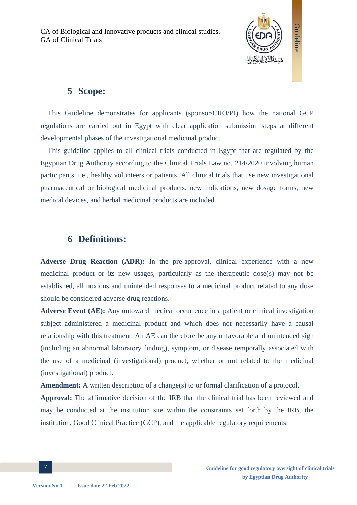

# **5 Scope:**

 This Guideline demonstrates for applicants (sponsor/CRO/PI) how the national GCP regulations are carried out in Egypt with clear application submission steps at different developmental phases of the investigational medicinal product.

 This guideline applies to all clinical trials conducted in Egypt that are regulated by the Egyptian Drug Authority according to the Clinical Trials Law no. 214/2020 involving human participants, i.e., healthy volunteers or patients. All clinical trials that use new investigational pharmaceutical or biological medicinal products, new indications, new dosage forms, new medical devices, and herbal medicinal products are included.

# **6 Definitions:**

**Adverse Drug Reaction (ADR):** In the pre-approval, clinical experience with a new medicinal product or its new usages, particularly as the therapeutic dose(s) may not be established, all noxious and unintended responses to a medicinal product related to any dose should be considered adverse drug reactions.

**Adverse Event (AE):** Any untoward medical occurrence in a patient or clinical investigation subject administered a medicinal product and which does not necessarily have a causal relationship with this treatment. An AE can therefore be any unfavorable and unintended sign (including an abnormal laboratory finding), symptom, or disease temporally associated with the use of a medicinal (investigational) product, whether or not related to the medicinal (investigational) product.

**Amendment:** A written description of a change(s) to or formal clarification of a protocol.

**Approval:** The affirmative decision of the IRB that the clinical trial has been reviewed and may be conducted at the institution site within the constraints set forth by the IRB, the institution, Good Clinical Practice (GCP), and the applicable regulatory requirements.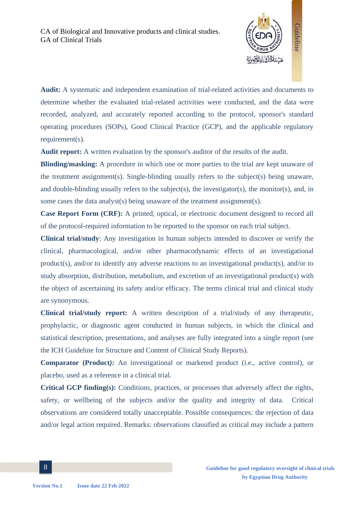

**Audit:** A systematic and independent examination of trial-related activities and documents to determine whether the evaluated trial-related activities were conducted, and the data were recorded, analyzed, and accurately reported according to the protocol, sponsor's standard operating procedures (SOPs), Good Clinical Practice (GCP), and the applicable regulatory requirement(s).

**Audit report:** A written evaluation by the sponsor's auditor of the results of the audit.

**Blinding/masking:** A procedure in which one or more parties to the trial are kept unaware of the treatment assignment(s). Single-blinding usually refers to the subject(s) being unaware, and double-blinding usually refers to the subject(s), the investigator(s), the monitor(s), and, in some cases the data analyst(s) being unaware of the treatment assignment(s).

**Case Report Form (CRF):** A printed, optical, or electronic document designed to record all of the protocol-required information to be reported to the sponsor on each trial subject.

**Clinical trial/study**: Any investigation in human subjects intended to discover or verify the clinical, pharmacological, and/or other pharmacodynamic effects of an investigational product(s), and/or to identify any adverse reactions to an investigational product(s), and/or to study absorption, distribution, metabolism, and excretion of an investigational product(s) with the object of ascertaining its safety and/or efficacy. The terms clinical trial and clinical study are synonymous.

**Clinical trial/study report:** A written description of a trial/study of any therapeutic, prophylactic, or diagnostic agent conducted in human subjects, in which the clinical and statistical description, presentations, and analyses are fully integrated into a single report (see the ICH Guideline for Structure and Content of Clinical Study Reports).

**Comparator (Product***):* An investigational or marketed product (i.e., active control), or placebo, used as a reference in a clinical trial.

**Critical GCP finding(s):** Conditions, practices, or processes that adversely affect the rights, safety, or wellbeing of the subjects and/or the quality and integrity of data. Critical observations are considered totally unacceptable. Possible consequences: the rejection of data and/or legal action required. Remarks: observations classified as critical may include a pattern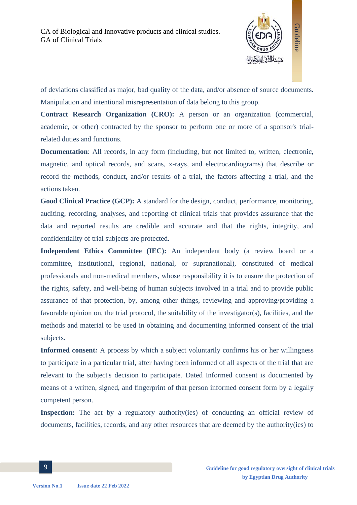

of deviations classified as major, bad quality of the data, and/or absence of source documents. Manipulation and intentional misrepresentation of data belong to this group.

**Contract Research Organization (CRO):** A person or an organization (commercial, academic, or other) contracted by the sponsor to perform one or more of a sponsor's trialrelated duties and functions.

**Documentation**: All records, in any form (including, but not limited to, written, electronic, magnetic, and optical records, and scans, x-rays, and electrocardiograms) that describe or record the methods, conduct, and/or results of a trial, the factors affecting a trial, and the actions taken.

**Good Clinical Practice (GCP):** A standard for the design, conduct, performance, monitoring, auditing, recording, analyses, and reporting of clinical trials that provides assurance that the data and reported results are credible and accurate and that the rights, integrity, and confidentiality of trial subjects are protected.

**Independent Ethics Committee (IEC):** An independent body (a review board or a committee, institutional, regional, national, or supranational), constituted of medical professionals and non-medical members, whose responsibility it is to ensure the protection of the rights, safety, and well-being of human subjects involved in a trial and to provide public assurance of that protection, by, among other things, reviewing and approving/providing a favorable opinion on, the trial protocol, the suitability of the investigator(s), facilities, and the methods and material to be used in obtaining and documenting informed consent of the trial subjects.

**Informed consent***:* A process by which a subject voluntarily confirms his or her willingness to participate in a particular trial, after having been informed of all aspects of the trial that are relevant to the subject's decision to participate. Dated Informed consent is documented by means of a written, signed, and fingerprint of that person informed consent form by a legally competent person.

**Inspection:** The act by a regulatory authority(ies) of conducting an official review of documents, facilities, records, and any other resources that are deemed by the authority(ies) to

9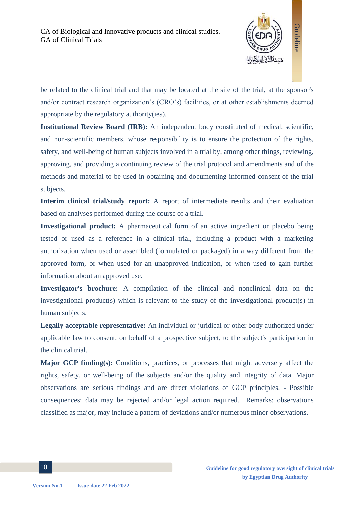

be related to the clinical trial and that may be located at the site of the trial, at the sponsor's and/or contract research organization's (CRO's) facilities, or at other establishments deemed appropriate by the regulatory authority(ies).

**Institutional Review Board (IRB):** An independent body constituted of medical, scientific, and non-scientific members, whose responsibility is to ensure the protection of the rights, safety, and well-being of human subjects involved in a trial by, among other things, reviewing, approving, and providing a continuing review of the trial protocol and amendments and of the methods and material to be used in obtaining and documenting informed consent of the trial subjects.

**Interim clinical trial/study report:** A report of intermediate results and their evaluation based on analyses performed during the course of a trial.

**Investigational product:** A pharmaceutical form of an active ingredient or placebo being tested or used as a reference in a clinical trial, including a product with a marketing authorization when used or assembled (formulated or packaged) in a way different from the approved form, or when used for an unapproved indication, or when used to gain further information about an approved use.

**Investigator's brochure:** A compilation of the clinical and nonclinical data on the investigational product(s) which is relevant to the study of the investigational product(s) in human subjects.

**Legally acceptable representative:** An individual or juridical or other body authorized under applicable law to consent, on behalf of a prospective subject, to the subject's participation in the clinical trial.

**Major GCP finding(s):** Conditions, practices, or processes that might adversely affect the rights, safety, or well-being of the subjects and/or the quality and integrity of data. Major observations are serious findings and are direct violations of GCP principles. - Possible consequences: data may be rejected and/or legal action required. Remarks: observations classified as major, may include a pattern of deviations and/or numerous minor observations.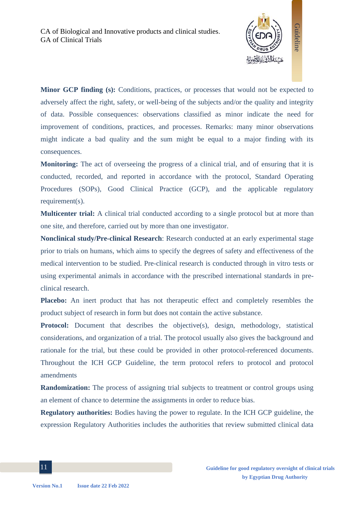

**Minor GCP finding (s):** Conditions, practices, or processes that would not be expected to adversely affect the right, safety, or well-being of the subjects and/or the quality and integrity of data. Possible consequences: observations classified as minor indicate the need for improvement of conditions, practices, and processes. Remarks: many minor observations might indicate a bad quality and the sum might be equal to a major finding with its consequences.

**Monitoring:** The act of overseeing the progress of a clinical trial, and of ensuring that it is conducted, recorded, and reported in accordance with the protocol, Standard Operating Procedures (SOPs), Good Clinical Practice (GCP), and the applicable regulatory requirement(s).

**Multicenter trial:** A clinical trial conducted according to a single protocol but at more than one site, and therefore, carried out by more than one investigator.

**Nonclinical study/Pre-clinical Research**: Research conducted at an early experimental stage prior to trials on humans, which aims to specify the degrees of safety and effectiveness of the medical intervention to be studied. Pre-clinical research is conducted through in vitro tests or using experimental animals in accordance with the prescribed international standards in preclinical research.

**Placebo:** An inert product that has not therapeutic effect and completely resembles the product subject of research in form but does not contain the active substance.

**Protocol:** Document that describes the objective(s), design, methodology, statistical considerations, and organization of a trial. The protocol usually also gives the background and rationale for the trial, but these could be provided in other protocol-referenced documents. Throughout the ICH GCP Guideline, the term protocol refers to protocol and protocol amendments

**Randomization:** The process of assigning trial subjects to treatment or control groups using an element of chance to determine the assignments in order to reduce bias.

**Regulatory authorities:** Bodies having the power to regulate. In the ICH GCP guideline, the expression Regulatory Authorities includes the authorities that review submitted clinical data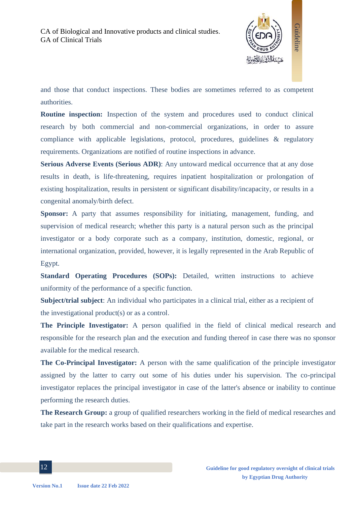

and those that conduct inspections. These bodies are sometimes referred to as competent authorities.

**Routine inspection:** Inspection of the system and procedures used to conduct clinical research by both commercial and non-commercial organizations, in order to assure compliance with applicable legislations, protocol, procedures, guidelines & regulatory requirements. Organizations are notified of routine inspections in advance.

**Serious Adverse Events (Serious ADR)**: Any untoward medical occurrence that at any dose results in death, is life-threatening, requires inpatient hospitalization or prolongation of existing hospitalization, results in persistent or significant disability/incapacity, or results in a congenital anomaly/birth defect.

**Sponsor:** A party that assumes responsibility for initiating, management, funding, and supervision of medical research; whether this party is a natural person such as the principal investigator or a body corporate such as a company, institution, domestic, regional, or international organization, provided, however, it is legally represented in the Arab Republic of Egypt.

**Standard Operating Procedures (SOPs):** Detailed, written instructions to achieve uniformity of the performance of a specific function.

**Subject/trial subject**: An individual who participates in a clinical trial, either as a recipient of the investigational product(s) or as a control.

**The Principle Investigator:** A person qualified in the field of clinical medical research and responsible for the research plan and the execution and funding thereof in case there was no sponsor available for the medical research.

**The Co-Principal Investigator:** A person with the same qualification of the principle investigator assigned by the latter to carry out some of his duties under his supervision. The co-principal investigator replaces the principal investigator in case of the latter's absence or inability to continue performing the research duties.

**The Research Group:** a group of qualified researchers working in the field of medical researches and take part in the research works based on their qualifications and expertise.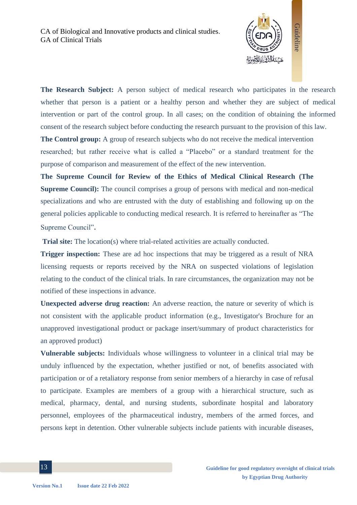

**The Research Subject:** A person subject of medical research who participates in the research whether that person is a patient or a healthy person and whether they are subject of medical intervention or part of the control group. In all cases; on the condition of obtaining the informed consent of the research subject before conducting the research pursuant to the provision of this law.

**The Control group:** A group of research subjects who do not receive the medical intervention researched; but rather receive what is called a "Placebo" or a standard treatment for the purpose of comparison and measurement of the effect of the new intervention.

**The Supreme Council for Review of the Ethics of Medical Clinical Research (The Supreme Council):** The council comprises a group of persons with medical and non-medical specializations and who are entrusted with the duty of establishing and following up on the general policies applicable to conducting medical research. It is referred to hereinafter as "The Supreme Council".

**Trial site:** The location(s) where trial-related activities are actually conducted.

**Trigger inspection:** These are ad hoc inspections that may be triggered as a result of NRA licensing requests or reports received by the NRA on suspected violations of legislation relating to the conduct of the clinical trials. In rare circumstances, the organization may not be notified of these inspections in advance.

**Unexpected adverse drug reaction:** An adverse reaction, the nature or severity of which is not consistent with the applicable product information (e.g., Investigator's Brochure for an unapproved investigational product or package insert/summary of product characteristics for an approved product)

**Vulnerable subjects:** Individuals whose willingness to volunteer in a clinical trial may be unduly influenced by the expectation, whether justified or not, of benefits associated with participation or of a retaliatory response from senior members of a hierarchy in case of refusal to participate. Examples are members of a group with a hierarchical structure, such as medical, pharmacy, dental, and nursing students, subordinate hospital and laboratory personnel, employees of the pharmaceutical industry, members of the armed forces, and persons kept in detention. Other vulnerable subjects include patients with incurable diseases,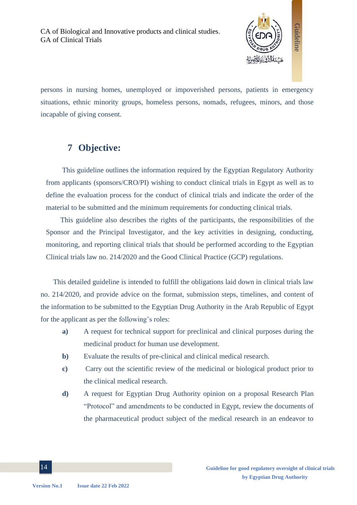

persons in nursing homes, unemployed or impoverished persons, patients in emergency situations, ethnic minority groups, homeless persons, nomads, refugees, minors, and those incapable of giving consent.

# **7 Objective:**

This guideline outlines the information required by the Egyptian Regulatory Authority from applicants (sponsors/CRO/PI) wishing to conduct clinical trials in Egypt as well as to define the evaluation process for the conduct of clinical trials and indicate the order of the material to be submitted and the minimum requirements for conducting clinical trials.

 This guideline also describes the rights of the participants, the responsibilities of the Sponsor and the Principal Investigator, and the key activities in designing, conducting, monitoring, and reporting clinical trials that should be performed according to the Egyptian Clinical trials law no. 214/2020 and the Good Clinical Practice (GCP) regulations.

This detailed guideline is intended to fulfill the obligations laid down in clinical trials law no. 214/2020, and provide advice on the format, submission steps, timelines, and content of the information to be submitted to the Egyptian Drug Authority in the Arab Republic of Egypt for the applicant as per the following's roles:

- **a)** A request for technical support for preclinical and clinical purposes during the medicinal product for human use development.
- **b)** Evaluate the results of pre-clinical and clinical medical research.
- **c)** Carry out the scientific review of the medicinal or biological product prior to the clinical medical research.
- **d)** A request for Egyptian Drug Authority opinion on a proposal Research Plan "Protocol" and amendments to be conducted in Egypt, review the documents of the pharmaceutical product subject of the medical research in an endeavor to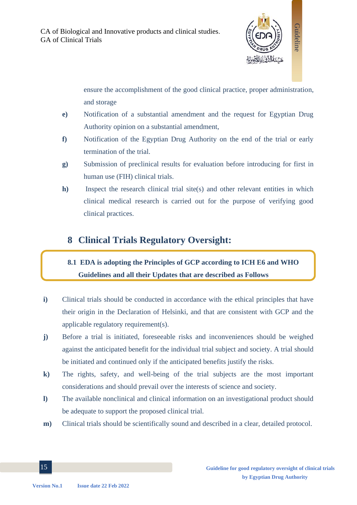

ensure the accomplishment of the good clinical practice, proper administration, and storage

- **e)** Notification of a substantial amendment and the request for Egyptian Drug Authority opinion on a substantial amendment,
- **f)** Notification of the Egyptian Drug Authority on the end of the trial or early termination of the trial.
- **g)** Submission of preclinical results for evaluation before introducing for first in human use (FIH) clinical trials.
- **h)** Inspect the research clinical trial site(s) and other relevant entities in which clinical medical research is carried out for the purpose of verifying good clinical practices.

# **8 Clinical Trials Regulatory Oversight:**

# **8.1 EDA is adopting the Principles of GCP according to ICH E6 and WHO Guidelines and all their Updates that are described as Follows**

- **i)** Clinical trials should be conducted in accordance with the ethical principles that have their origin in the Declaration of Helsinki, and that are consistent with GCP and the applicable regulatory requirement(s).
- **j)** Before a trial is initiated, foreseeable risks and inconveniences should be weighed against the anticipated benefit for the individual trial subject and society. A trial should be initiated and continued only if the anticipated benefits justify the risks.
- **k)** The rights, safety, and well-being of the trial subjects are the most important considerations and should prevail over the interests of science and society.
- **l)** The available nonclinical and clinical information on an investigational product should be adequate to support the proposed clinical trial.
- **m**) Clinical trials should be scientifically sound and described in a clear, detailed protocol.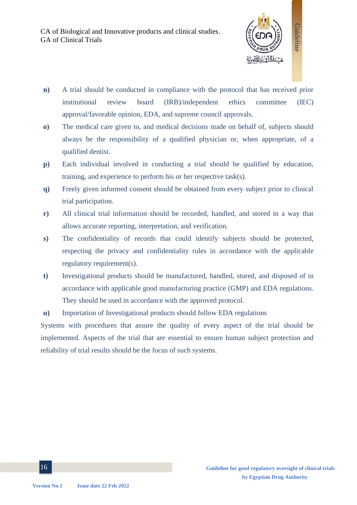

- **n)** A trial should be conducted in compliance with the protocol that has received prior institutional review board (IRB)/independent ethics committee (IEC) approval/favorable opinion, EDA, and supreme council approvals.
- **o)** The medical care given to, and medical decisions made on behalf of, subjects should always be the responsibility of a qualified physician or, when appropriate, of a qualified dentist.
- **p)** Each individual involved in conducting a trial should be qualified by education, training, and experience to perform his or her respective task(s).
- **q)** Freely given informed consent should be obtained from every subject prior to clinical trial participation.
- **r)** All clinical trial information should be recorded, handled, and stored in a way that allows accurate reporting, interpretation, and verification.
- **s)** The confidentiality of records that could identify subjects should be protected, respecting the privacy and confidentiality rules in accordance with the applicable regulatory requirement(s).
- **t)** Investigational products should be manufactured, handled, stored, and disposed of in accordance with applicable good manufacturing practice (GMP) and EDA regulations. They should be used in accordance with the approved protocol.
- **u)** Importation of Investigational products should follow EDA regulations

Systems with procedures that assure the quality of every aspect of the trial should be implemented. Aspects of the trial that are essential to ensure human subject protection and reliability of trial results should be the focus of such systems.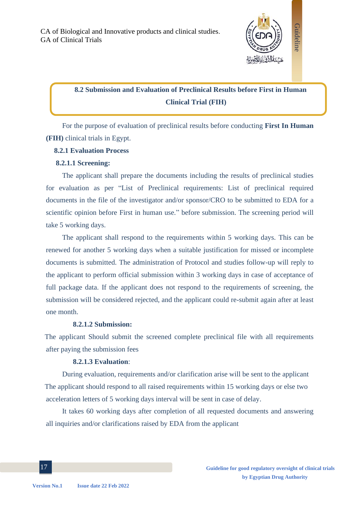

# **8.2 Submission and Evaluation of Preclinical Results before First in Human Clinical Trial (FIH)**

For the purpose of evaluation of preclinical results before conducting **First In Human (FIH)** clinical trials in Egypt.

# **8.2.1 Evaluation Process**

## **8.2.1.1 Screening:**

The applicant shall prepare the documents including the results of preclinical studies for evaluation as per "List of Preclinical requirements: List of preclinical required documents in the file of the investigator and/or sponsor/CRO to be submitted to EDA for a scientific opinion before First in human use." before submission. The screening period will take 5 working days.

The applicant shall respond to the requirements within 5 working days. This can be renewed for another 5 working days when a suitable justification for missed or incomplete documents is submitted. The administration of Protocol and studies follow-up will reply to the applicant to perform official submission within 3 working days in case of acceptance of full package data. If the applicant does not respond to the requirements of screening, the submission will be considered rejected, and the applicant could re-submit again after at least one month.

# **8.2.1.2 Submission:**

The applicant Should submit the screened complete preclinical file with all requirements after paying the submission fees

# **8.2.1.3 Evaluation**:

During evaluation, requirements and/or clarification arise will be sent to the applicant The applicant should respond to all raised requirements within 15 working days or else two acceleration letters of 5 working days interval will be sent in case of delay.

It takes 60 working days after completion of all requested documents and answering all inquiries and/or clarifications raised by EDA from the applicant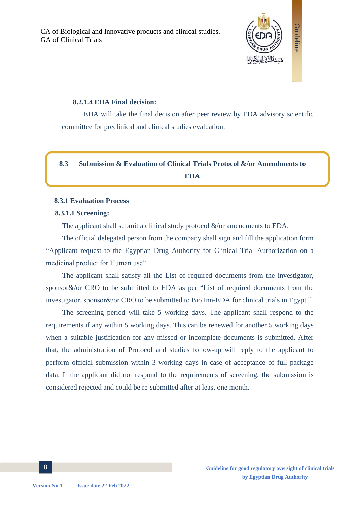

## **8.2.1.4 EDA Final decision:**

EDA will take the final decision after peer review by EDA advisory scientific committee for preclinical and clinical studies evaluation.

# **8.3 Submission & Evaluation of Clinical Trials Protocol &/or Amendments to EDA**

# **8.3.1 Evaluation Process**

#### **8.3.1.1 Screening:**

The applicant shall submit a clinical study protocol  $\&$ /or amendments to EDA.

The official delegated person from the company shall sign and fill the application form "Applicant request to the Egyptian Drug Authority for Clinical Trial Authorization on a medicinal product for Human use"

The applicant shall satisfy all the List of required documents from the investigator, sponsor&/or CRO to be submitted to EDA as per "List of required documents from the investigator, sponsor&/or CRO to be submitted to Bio Inn-EDA for clinical trials in Egypt."

The screening period will take 5 working days. The applicant shall respond to the requirements if any within 5 working days. This can be renewed for another 5 working days when a suitable justification for any missed or incomplete documents is submitted. After that, the administration of Protocol and studies follow-up will reply to the applicant to perform official submission within 3 working days in case of acceptance of full package data. If the applicant did not respond to the requirements of screening, the submission is considered rejected and could be re-submitted after at least one month.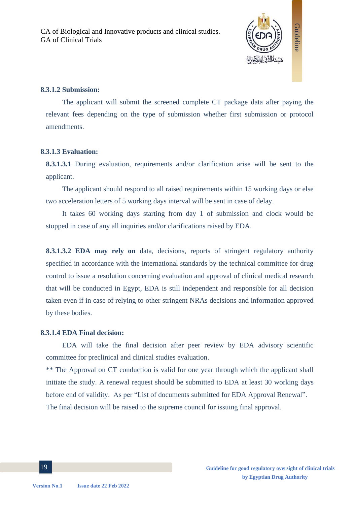

#### **8.3.1.2 Submission:**

The applicant will submit the screened complete CT package data after paying the relevant fees depending on the type of submission whether first submission or protocol amendments.

#### **8.3.1.3 Evaluation:**

**8.3.1.3.1** During evaluation, requirements and/or clarification arise will be sent to the applicant.

The applicant should respond to all raised requirements within 15 working days or else two acceleration letters of 5 working days interval will be sent in case of delay.

It takes 60 working days starting from day 1 of submission and clock would be stopped in case of any all inquiries and/or clarifications raised by EDA.

**8.3.1.3.2 EDA may rely on** data, decisions, reports of stringent regulatory authority specified in accordance with the international standards by the technical committee for drug control to issue a resolution concerning evaluation and approval of clinical medical research that will be conducted in Egypt, EDA is still independent and responsible for all decision taken even if in case of relying to other stringent NRAs decisions and information approved by these bodies.

## **8.3.1.4 EDA Final decision:**

EDA will take the final decision after peer review by EDA advisory scientific committee for preclinical and clinical studies evaluation.

\*\* The Approval on CT conduction is valid for one year through which the applicant shall initiate the study. A renewal request should be submitted to EDA at least 30 working days before end of validity. As per "List of documents submitted for EDA Approval Renewal". The final decision will be raised to the supreme council for issuing final approval.

19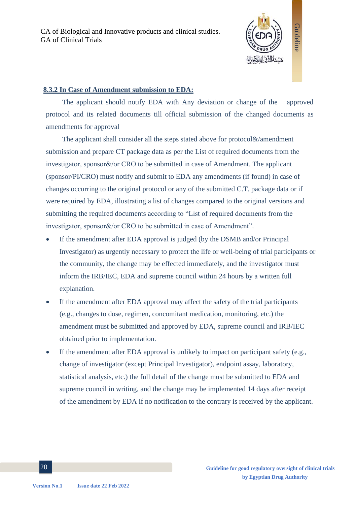

#### **8.3.2 In Case of Amendment submission to EDA:**

The applicant should notify EDA with Any deviation or change of the approved protocol and its related documents till official submission of the changed documents as amendments for approval

The applicant shall consider all the steps stated above for protocol  $\&$ /amendment submission and prepare CT package data as per the List of required documents from the investigator, sponsor&/or CRO to be submitted in case of Amendment, The applicant (sponsor/PI/CRO) must notify and submit to EDA any amendments (if found) in case of changes occurring to the original protocol or any of the submitted C.T. package data or if were required by EDA, illustrating a list of changes compared to the original versions and submitting the required documents according to "List of required documents from the investigator, sponsor&/or CRO to be submitted in case of Amendment".

- If the amendment after EDA approval is judged (by the DSMB and/or Principal Investigator) as urgently necessary to protect the life or well-being of trial participants or the community, the change may be effected immediately, and the investigator must inform the IRB/IEC, EDA and supreme council within 24 hours by a written full explanation.
- If the amendment after EDA approval may affect the safety of the trial participants (e.g., changes to dose, regimen, concomitant medication, monitoring, etc.) the amendment must be submitted and approved by EDA, supreme council and IRB/IEC obtained prior to implementation.
- If the amendment after EDA approval is unlikely to impact on participant safety  $(e.g.,)$ change of investigator (except Principal Investigator), endpoint assay, laboratory, statistical analysis, etc.) the full detail of the change must be submitted to EDA and supreme council in writing, and the change may be implemented 14 days after receipt of the amendment by EDA if no notification to the contrary is received by the applicant.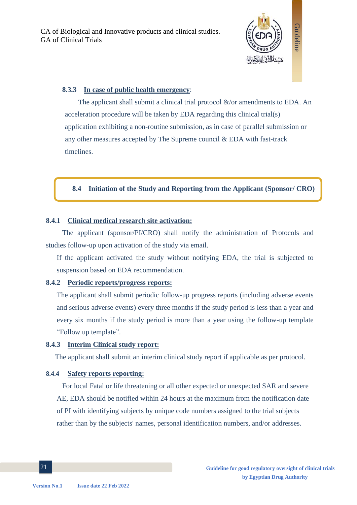

## **8.3.3 In case of public health emergency**:

The applicant shall submit a clinical trial protocol &/or amendments to EDA. An acceleration procedure will be taken by EDA regarding this clinical trial(s) application exhibiting a non-routine submission, as in case of parallel submission or any other measures accepted by The Supreme council & EDA with fast-track timelines.

# **8.4 Initiation of the Study and Reporting from the Applicant (Sponsor/ CRO)**

#### **8.4.1 Clinical medical research site activation:**

The applicant (sponsor/PI/CRO) shall notify the administration of Protocols and studies follow-up upon activation of the study via email.

If the applicant activated the study without notifying EDA, the trial is subjected to suspension based on EDA recommendation.

#### **8.4.2 Periodic reports/progress reports:**

The applicant shall submit periodic follow-up progress reports (including adverse events and serious adverse events) every three months if the study period is less than a year and every six months if the study period is more than a year using the follow-up template "Follow up template".

## **8.4.3 Interim Clinical study report:**

The applicant shall submit an interim clinical study report if applicable as per protocol.

#### **8.4.4 Safety reports reporting:**

For local Fatal or life threatening or all other expected or unexpected SAR and severe AE, EDA should be notified within 24 hours at the maximum from the notification date of PI with identifying subjects by unique code numbers assigned to the trial subjects rather than by the subjects' names, personal identification numbers, and/or addresses.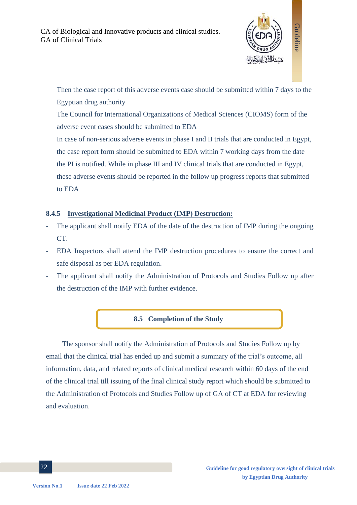

Then the case report of this adverse events case should be submitted within 7 days to the Egyptian drug authority

The Council for International Organizations of Medical Sciences (CIOMS) form of the adverse event cases should be submitted to EDA

In case of non-serious adverse events in phase I and II trials that are conducted in Egypt, the case report form should be submitted to EDA within 7 working days from the date the PI is notified. While in phase III and IV clinical trials that are conducted in Egypt, these adverse events should be reported in the follow up progress reports that submitted to EDA

# **8.4.5 Investigational Medicinal Product (IMP) Destruction:**

- The applicant shall notify EDA of the date of the destruction of IMP during the ongoing CT.
- EDA Inspectors shall attend the IMP destruction procedures to ensure the correct and safe disposal as per EDA regulation.
- The applicant shall notify the Administration of Protocols and Studies Follow up after the destruction of the IMP with further evidence.

# **8.5 Completion of the Study**

The sponsor shall notify the Administration of Protocols and Studies Follow up by email that the clinical trial has ended up and submit a summary of the trial's outcome, all information, data, and related reports of clinical medical research within 60 days of the end of the clinical trial till issuing of the final clinical study report which should be submitted to the Administration of Protocols and Studies Follow up of GA of CT at EDA for reviewing and evaluation.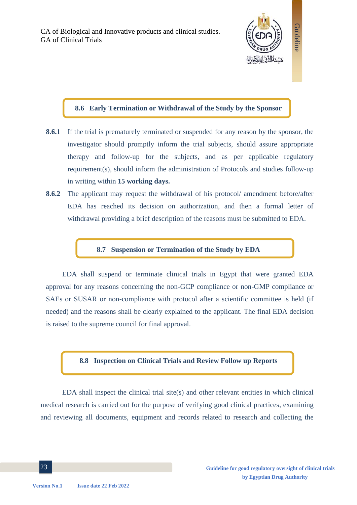

# **8.6 Early Termination or Withdrawal of the Study by the Sponsor**

- **8.6.1** If the trial is prematurely terminated or suspended for any reason by the sponsor, the investigator should promptly inform the trial subjects, should assure appropriate therapy and follow-up for the subjects, and as per applicable regulatory requirement(s), should inform the administration of Protocols and studies follow-up in writing within **15 working days.**
- **8.6.2** The applicant may request the withdrawal of his protocol/ amendment before/after EDA has reached its decision on authorization, and then a formal letter of withdrawal providing a brief description of the reasons must be submitted to EDA.

#### **8.7 Suspension or Termination of the Study by EDA**

EDA shall suspend or terminate clinical trials in Egypt that were granted EDA approval for any reasons concerning the non-GCP compliance or non-GMP compliance or SAEs or SUSAR or non-compliance with protocol after a scientific committee is held (if needed) and the reasons shall be clearly explained to the applicant. The final EDA decision is raised to the supreme council for final approval.

# **8.8 Inspection on Clinical Trials and Review Follow up Reports**

EDA shall inspect the clinical trial site(s) and other relevant entities in which clinical medical research is carried out for the purpose of verifying good clinical practices, examining and reviewing all documents, equipment and records related to research and collecting the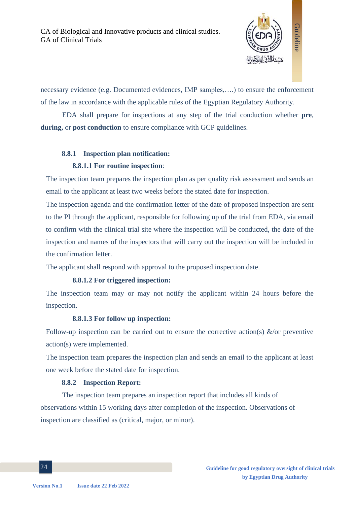

necessary evidence (e.g. Documented evidences, IMP samples,….) to ensure the enforcement of the law in accordance with the applicable rules of the Egyptian Regulatory Authority.

EDA shall prepare for inspections at any step of the trial conduction whether **pre**, **during,** or **post conduction** to ensure compliance with GCP guidelines.

# **8.8.1 Inspection plan notification:**

# **8.8.1.1 For routine inspection**:

The inspection team prepares the inspection plan as per quality risk assessment and sends an email to the applicant at least two weeks before the stated date for inspection.

The inspection agenda and the confirmation letter of the date of proposed inspection are sent to the PI through the applicant, responsible for following up of the trial from EDA, via email to confirm with the clinical trial site where the inspection will be conducted, the date of the inspection and names of the inspectors that will carry out the inspection will be included in the confirmation letter.

The applicant shall respond with approval to the proposed inspection date.

## **8.8.1.2 For triggered inspection:**

The inspection team may or may not notify the applicant within 24 hours before the inspection.

## **8.8.1.3 For follow up inspection:**

Follow-up inspection can be carried out to ensure the corrective action(s)  $\&$ /or preventive action(s) were implemented.

The inspection team prepares the inspection plan and sends an email to the applicant at least one week before the stated date for inspection.

#### **8.8.2 Inspection Report:**

The inspection team prepares an inspection report that includes all kinds of observations within 15 working days after completion of the inspection. Observations of inspection are classified as (critical, major, or minor).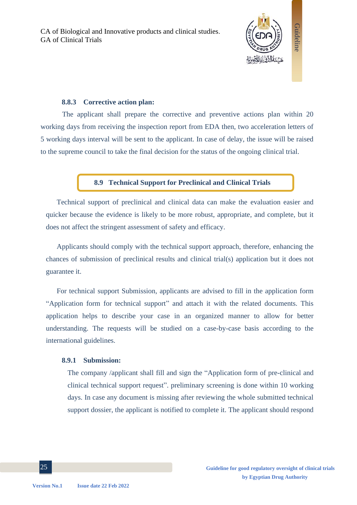

#### **8.8.3 Corrective action plan:**

The applicant shall prepare the corrective and preventive actions plan within 20 working days from receiving the inspection report from EDA then, two acceleration letters of 5 working days interval will be sent to the applicant. In case of delay, the issue will be raised to the supreme council to take the final decision for the status of the ongoing clinical trial.

## **8.9 Technical Support for Preclinical and Clinical Trials**

Technical support of preclinical and clinical data can make the evaluation easier and quicker because the evidence is likely to be more robust, appropriate, and complete, but it does not affect the stringent assessment of safety and efficacy.

Applicants should comply with the technical support approach, therefore, enhancing the chances of submission of preclinical results and clinical trial(s) application but it does not guarantee it.

For technical support Submission, applicants are advised to fill in the application form "Application form for technical support" and attach it with the related documents. This application helps to describe your case in an organized manner to allow for better understanding. The requests will be studied on a case-by-case basis according to the international guidelines.

#### **8.9.1 Submission:**

The company /applicant shall fill and sign the "Application form of pre-clinical and clinical technical support request". preliminary screening is done within 10 working days. In case any document is missing after reviewing the whole submitted technical support dossier, the applicant is notified to complete it. The applicant should respond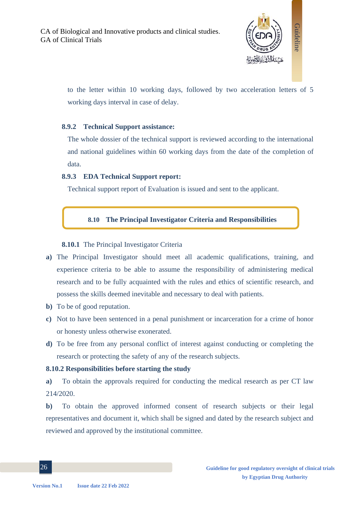

to the letter within 10 working days, followed by two acceleration letters of 5 working days interval in case of delay.

# **8.9.2 Technical Support assistance:**

The whole dossier of the technical support is reviewed according to the international and national guidelines within 60 working days from the date of the completion of data.

# **8.9.3 EDA Technical Support report:**

Technical support report of Evaluation is issued and sent to the applicant.

# **8.10 The Principal Investigator Criteria and Responsibilities**

**8.10.1** The Principal Investigator Criteria

- **a)** The Principal Investigator should meet all academic qualifications, training, and experience criteria to be able to assume the responsibility of administering medical research and to be fully acquainted with the rules and ethics of scientific research, and possess the skills deemed inevitable and necessary to deal with patients.
- **b)** To be of good reputation.
- **c)** Not to have been sentenced in a penal punishment or incarceration for a crime of honor or honesty unless otherwise exonerated.
- **d)** To be free from any personal conflict of interest against conducting or completing the research or protecting the safety of any of the research subjects.

## **8.10.2 Responsibilities before starting the study**

**a)** To obtain the approvals required for conducting the medical research as per CT law 214/2020.

**b)** To obtain the approved informed consent of research subjects or their legal representatives and document it, which shall be signed and dated by the research subject and reviewed and approved by the institutional committee.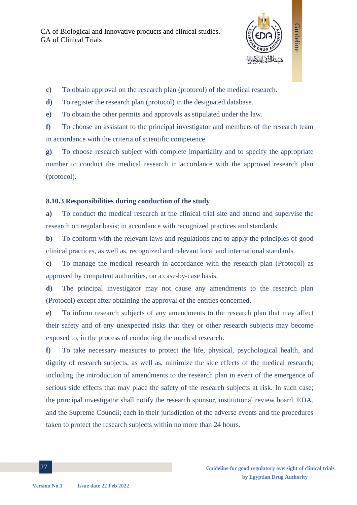

**c)** To obtain approval on the research plan (protocol) of the medical research.

**d)** To register the research plan (protocol) in the designated database.

**e)** To obtain the other permits and approvals as stipulated under the law.

**f)** To choose an assistant to the principal investigator and members of the research team in accordance with the criteria of scientific competence.

**g)** To choose research subject with complete impartiality and to specify the appropriate number to conduct the medical research in accordance with the approved research plan (protocol).

# **8.10.3 Responsibilities during conduction of the study**

**a)** To conduct the medical research at the clinical trial site and attend and supervise the research on regular basis; in accordance with recognized practices and standards.

**b)** To conform with the relevant laws and regulations and to apply the principles of good clinical practices, as well as, recognized and relevant local and international standards.

**c)** To manage the medical research in accordance with the research plan (Protocol) as approved by competent authorities, on a case-by-case basis.

**d)** The principal investigator may not cause any amendments to the research plan (Protocol) except after obtaining the approval of the entities concerned.

**e)** To inform research subjects of any amendments to the research plan that may affect their safety and of any unexpected risks that they or other research subjects may become exposed to, in the process of conducting the medical research.

**f)** To take necessary measures to protect the life, physical, psychological health, and dignity of research subjects, as well as, minimize the side effects of the medical research; including the introduction of amendments to the research plan in event of the emergence of serious side effects that may place the safety of the research subjects at risk. In such case; the principal investigator shall notify the research sponsor, institutional review board, EDA, and the Supreme Council; each in their jurisdiction of the adverse events and the procedures taken to protect the research subjects within no more than 24 hours.

27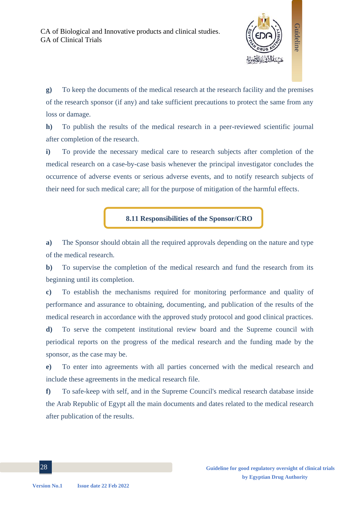

**g)** To keep the documents of the medical research at the research facility and the premises of the research sponsor (if any) and take sufficient precautions to protect the same from any loss or damage.

**h)** To publish the results of the medical research in a peer-reviewed scientific journal after completion of the research.

**i)** To provide the necessary medical care to research subjects after completion of the medical research on a case-by-case basis whenever the principal investigator concludes the occurrence of adverse events or serious adverse events, and to notify research subjects of their need for such medical care; all for the purpose of mitigation of the harmful effects.

**8.11 Responsibilities of the Sponsor/CRO**

**a)** The Sponsor should obtain all the required approvals depending on the nature and type of the medical research.

**b**) To supervise the completion of the medical research and fund the research from its beginning until its completion.

**c)** To establish the mechanisms required for monitoring performance and quality of performance and assurance to obtaining, documenting, and publication of the results of the medical research in accordance with the approved study protocol and good clinical practices.

**d)** To serve the competent institutional review board and the Supreme council with periodical reports on the progress of the medical research and the funding made by the sponsor, as the case may be.

**e)** To enter into agreements with all parties concerned with the medical research and include these agreements in the medical research file.

**f)** To safe-keep with self, and in the Supreme Council's medical research database inside the Arab Republic of Egypt all the main documents and dates related to the medical research after publication of the results.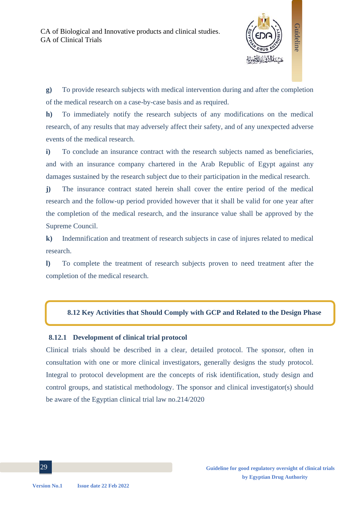

**g)** To provide research subjects with medical intervention during and after the completion of the medical research on a case-by-case basis and as required.

**h)** To immediately notify the research subjects of any modifications on the medical research, of any results that may adversely affect their safety, and of any unexpected adverse events of the medical research.

**i)** To conclude an insurance contract with the research subjects named as beneficiaries, and with an insurance company chartered in the Arab Republic of Egypt against any damages sustained by the research subject due to their participation in the medical research.

**j)** The insurance contract stated herein shall cover the entire period of the medical research and the follow-up period provided however that it shall be valid for one year after the completion of the medical research, and the insurance value shall be approved by the Supreme Council.

**k)** Indemnification and treatment of research subjects in case of injures related to medical research.

**l)** To complete the treatment of research subjects proven to need treatment after the completion of the medical research.

#### **8.12 Key Activities that Should Comply with GCP and Related to the Design Phase**

#### **8.12.1 Development of clinical trial protocol**

Clinical trials should be described in a clear, detailed protocol. The sponsor, often in consultation with one or more clinical investigators, generally designs the study protocol. Integral to protocol development are the concepts of risk identification, study design and control groups, and statistical methodology. The sponsor and clinical investigator(s) should be aware of the Egyptian clinical trial law no.214/2020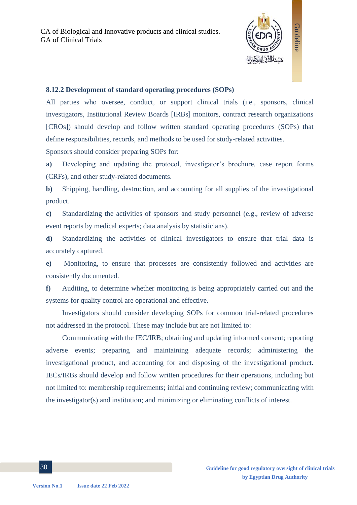

#### **8.12.2 Development of standard operating procedures (SOPs)**

All parties who oversee, conduct, or support clinical trials (i.e., sponsors, clinical investigators, Institutional Review Boards [IRBs] monitors, contract research organizations [CROs]) should develop and follow written standard operating procedures (SOPs) that define responsibilities, records, and methods to be used for study-related activities.

Sponsors should consider preparing SOPs for:

**a)** Developing and updating the protocol, investigator's brochure, case report forms (CRFs), and other study-related documents.

**b)** Shipping, handling, destruction, and accounting for all supplies of the investigational product.

**c)** Standardizing the activities of sponsors and study personnel (e.g., review of adverse event reports by medical experts; data analysis by statisticians).

**d)** Standardizing the activities of clinical investigators to ensure that trial data is accurately captured.

**e)** Monitoring, to ensure that processes are consistently followed and activities are consistently documented.

**f)** Auditing, to determine whether monitoring is being appropriately carried out and the systems for quality control are operational and effective.

Investigators should consider developing SOPs for common trial-related procedures not addressed in the protocol. These may include but are not limited to:

Communicating with the IEC/IRB; obtaining and updating informed consent; reporting adverse events; preparing and maintaining adequate records; administering the investigational product, and accounting for and disposing of the investigational product. IECs/IRBs should develop and follow written procedures for their operations, including but not limited to: membership requirements; initial and continuing review; communicating with the investigator(s) and institution; and minimizing or eliminating conflicts of interest.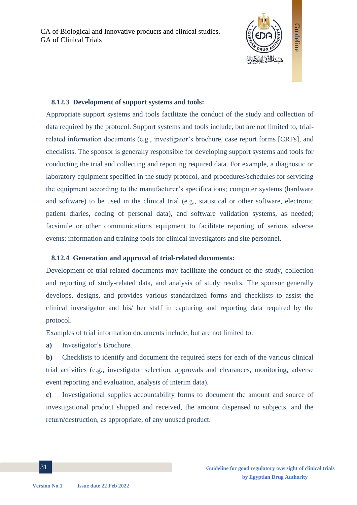

#### **8.12.3 Development of support systems and tools:**

Appropriate support systems and tools facilitate the conduct of the study and collection of data required by the protocol. Support systems and tools include, but are not limited to, trialrelated information documents (e.g., investigator's brochure, case report forms [CRFs], and checklists. The sponsor is generally responsible for developing support systems and tools for conducting the trial and collecting and reporting required data. For example, a diagnostic or laboratory equipment specified in the study protocol, and procedures/schedules for servicing the equipment according to the manufacturer's specifications; computer systems (hardware and software) to be used in the clinical trial (e.g., statistical or other software, electronic patient diaries, coding of personal data), and software validation systems, as needed; facsimile or other communications equipment to facilitate reporting of serious adverse events; information and training tools for clinical investigators and site personnel.

#### **8.12.4 Generation and approval of trial-related documents:**

Development of trial-related documents may facilitate the conduct of the study, collection and reporting of study-related data, and analysis of study results. The sponsor generally develops, designs, and provides various standardized forms and checklists to assist the clinical investigator and his/ her staff in capturing and reporting data required by the protocol.

Examples of trial information documents include, but are not limited to:

**a)** Investigator's Brochure.

**b)** Checklists to identify and document the required steps for each of the various clinical trial activities (e.g., investigator selection, approvals and clearances, monitoring, adverse event reporting and evaluation, analysis of interim data).

**c)** Investigational supplies accountability forms to document the amount and source of investigational product shipped and received, the amount dispensed to subjects, and the return/destruction, as appropriate, of any unused product.

31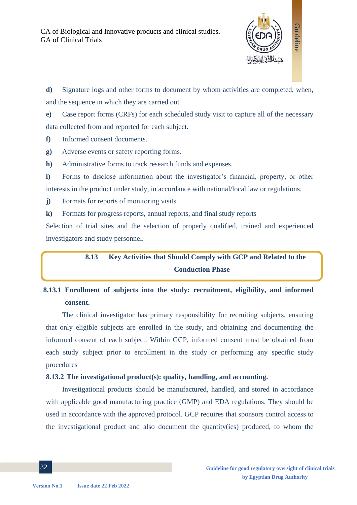

**d)** Signature logs and other forms to document by whom activities are completed, when, and the sequence in which they are carried out.

**e)** Case report forms (CRFs) for each scheduled study visit to capture all of the necessary data collected from and reported for each subject.

**f)** Informed consent documents.

**g)** Adverse events or safety reporting forms.

**h)** Administrative forms to track research funds and expenses.

**i)** Forms to disclose information about the investigator's financial, property, or other interests in the product under study, in accordance with national/local law or regulations.

**j)** Formats for reports of monitoring visits.

**k)** Formats for progress reports, annual reports, and final study reports

Selection of trial sites and the selection of properly qualified, trained and experienced investigators and study personnel.

# **8.13 Key Activities that Should Comply with GCP and Related to the Conduction Phase**

# **8.13.1 Enrollment of subjects into the study: recruitment, eligibility, and informed consent.**

The clinical investigator has primary responsibility for recruiting subjects, ensuring that only eligible subjects are enrolled in the study, and obtaining and documenting the informed consent of each subject. Within GCP, informed consent must be obtained from each study subject prior to enrollment in the study or performing any specific study procedures

#### **8.13.2 The investigational product(s): quality, handling, and accounting.**

Investigational products should be manufactured, handled, and stored in accordance with applicable good manufacturing practice (GMP) and EDA regulations. They should be used in accordance with the approved protocol. GCP requires that sponsors control access to the investigational product and also document the quantity(ies) produced, to whom the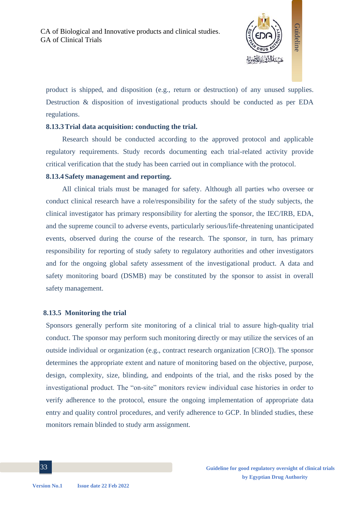

product is shipped, and disposition (e.g., return or destruction) of any unused supplies. Destruction & disposition of investigational products should be conducted as per EDA regulations.

#### **8.13.3Trial data acquisition: conducting the trial.**

Research should be conducted according to the approved protocol and applicable regulatory requirements. Study records documenting each trial-related activity provide critical verification that the study has been carried out in compliance with the protocol.

## **8.13.4Safety management and reporting.**

All clinical trials must be managed for safety. Although all parties who oversee or conduct clinical research have a role/responsibility for the safety of the study subjects, the clinical investigator has primary responsibility for alerting the sponsor, the IEC/IRB, EDA, and the supreme council to adverse events, particularly serious/life-threatening unanticipated events, observed during the course of the research. The sponsor, in turn, has primary responsibility for reporting of study safety to regulatory authorities and other investigators and for the ongoing global safety assessment of the investigational product. A data and safety monitoring board (DSMB) may be constituted by the sponsor to assist in overall safety management.

#### **8.13.5 Monitoring the trial**

Sponsors generally perform site monitoring of a clinical trial to assure high-quality trial conduct. The sponsor may perform such monitoring directly or may utilize the services of an outside individual or organization (e.g., contract research organization [CRO]). The sponsor determines the appropriate extent and nature of monitoring based on the objective, purpose, design, complexity, size, blinding, and endpoints of the trial, and the risks posed by the investigational product. The "on-site" monitors review individual case histories in order to verify adherence to the protocol, ensure the ongoing implementation of appropriate data entry and quality control procedures, and verify adherence to GCP. In blinded studies, these monitors remain blinded to study arm assignment.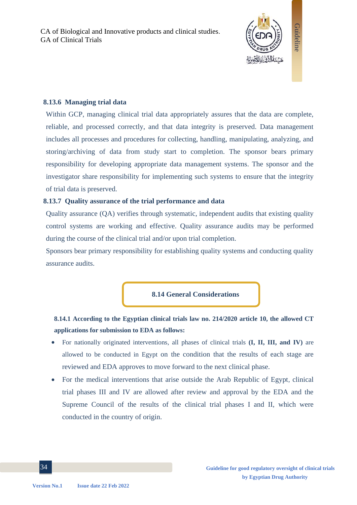

# **8.13.6 Managing trial data**

Within GCP, managing clinical trial data appropriately assures that the data are complete, reliable, and processed correctly, and that data integrity is preserved. Data management includes all processes and procedures for collecting, handling, manipulating, analyzing, and storing/archiving of data from study start to completion. The sponsor bears primary responsibility for developing appropriate data management systems. The sponsor and the investigator share responsibility for implementing such systems to ensure that the integrity of trial data is preserved.

## **8.13.7 Quality assurance of the trial performance and data**

Quality assurance (QA) verifies through systematic, independent audits that existing quality control systems are working and effective. Quality assurance audits may be performed during the course of the clinical trial and/or upon trial completion.

Sponsors bear primary responsibility for establishing quality systems and conducting quality assurance audits.

**8.14 General Considerations**

# **8.14.1 According to the Egyptian clinical trials law no. 214/2020 article 10, the allowed CT applications for submission to EDA as follows:**

- For nationally originated interventions, all phases of clinical trials **(I, II, III, and IV)** are allowed to be conducted in Egypt on the condition that the results of each stage are reviewed and EDA approves to move forward to the next clinical phase.
- For the medical interventions that arise outside the Arab Republic of Egypt, clinical trial phases III and IV are allowed after review and approval by the EDA and the Supreme Council of the results of the clinical trial phases I and II, which were conducted in the country of origin.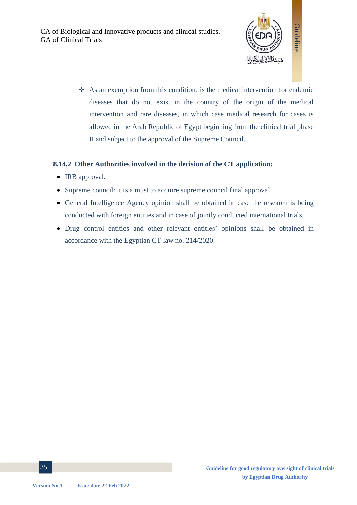

❖ As an exemption from this condition; is the medical intervention for endemic diseases that do not exist in the country of the origin of the medical intervention and rare diseases, in which case medical research for cases is allowed in the Arab Republic of Egypt beginning from the clinical trial phase II and subject to the approval of the Supreme Council.

# **8.14.2 Other Authorities involved in the decision of the CT application:**

- IRB approval.
- Supreme council: it is a must to acquire supreme council final approval.
- General Intelligence Agency opinion shall be obtained in case the research is being conducted with foreign entities and in case of jointly conducted international trials.
- Drug control entities and other relevant entities' opinions shall be obtained in accordance with the Egyptian CT law no. 214/2020.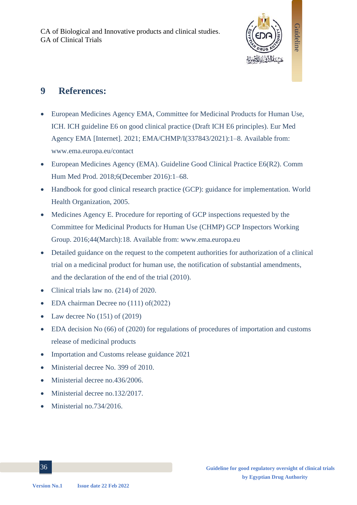

# **9 References:**

- European Medicines Agency EMA, Committee for Medicinal Products for Human Use, ICH. ICH guideline E6 on good clinical practice (Draft ICH E6 principles). Eur Med Agency EMA [Internet]. 2021; EMA/CHMP/I(337843/2021):1–8. Available from: www.ema.europa.eu/contact
- European Medicines Agency (EMA). Guideline Good Clinical Practice E6(R2). Comm Hum Med Prod. 2018;6(December 2016):1–68.
- Handbook for good clinical research practice (GCP): guidance for implementation. World Health Organization, 2005.
- Medicines Agency E. Procedure for reporting of GCP inspections requested by the Committee for Medicinal Products for Human Use (CHMP) GCP Inspectors Working Group. 2016;44(March):18. Available from: www.ema.europa.eu
- Detailed guidance on the request to the competent authorities for authorization of a clinical trial on a medicinal product for human use, the notification of substantial amendments, and the declaration of the end of the trial (2010).
- Clinical trials law no. (214) of 2020.
- EDA chairman Decree no  $(111)$  of  $(2022)$
- Law decree No  $(151)$  of  $(2019)$
- EDA decision No (66) of (2020) for regulations of procedures of importation and customs release of medicinal products
- Importation and Customs release guidance 2021
- Ministerial decree No. 399 of 2010.
- Ministerial decree no.436/2006.
- Ministerial decree no.132/2017.
- Ministerial no.734/2016.